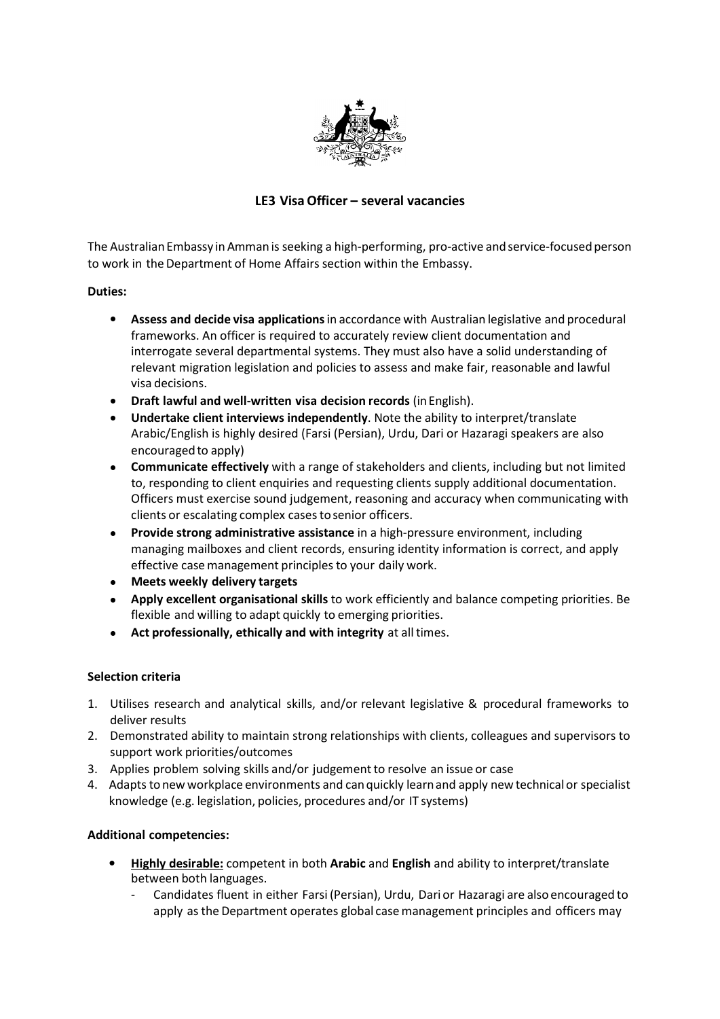

# **LE3 VisaOfficer – several vacancies**

The Australian Embassy in Amman is seeking a high-performing, pro-active and service-focused person to work in the Department of Home Affairs section within the Embassy.

### **Duties:**

- **Assess and decide visa applications**in accordance with Australian legislative and procedural frameworks. An officer is required to accurately review client documentation and interrogate several departmental systems. They must also have a solid understanding of relevant migration legislation and policies to assess and make fair, reasonable and lawful visa decisions.
- **Draft lawful and well-written visa decision records** (inEnglish). •
- **Undertake client interviews independently**. Note the ability to interpret/translate Arabic/English is highly desired (Farsi (Persian), Urdu, Dari or Hazaragi speakers are also encouraged to apply) •
- **Communicate effectively** with a range of stakeholders and clients, including but not limited to, responding to client enquiries and requesting clients supply additional documentation. Officers must exercise sound judgement, reasoning and accuracy when communicating with clients or escalating complex cases to senior officers. •
- **Provide strong administrative assistance** in a high-pressure environment, including managing mailboxes and client records, ensuring identity information is correct, and apply effective case management principles to your daily work. •
- **Meets weekly delivery targets** •
- **Apply excellent organisational skills** to work efficiently and balance competing priorities. Be flexible and willing to adapt quickly to emerging priorities. •
- **Act professionally, ethically and with integrity** at alltimes. •

## **Selection criteria**

- 1. Utilises research and analytical skills, and/or relevant legislative & procedural frameworks to deliver results
- Demonstrated ability to maintain strong relationships with clients, colleagues and supervisors to 2. support work priorities/outcomes
- 3. Applies problem solving skills and/or judgement to resolve an issue or case
- 4. Adapts to new workplace environments and can quickly learn and apply new technical or specialist knowledge (e.g. legislation, policies, procedures and/or IT systems)

## **Additional competencies:**

- **Highly desirable:** competent in both **Arabic** and **English** and ability to interpret/translate between both languages.
	- Candidates fluent in either Farsi (Persian), Urdu, Dari or Hazaragi are also encouraged to apply as the Department operates global casemanagement principles and officers may